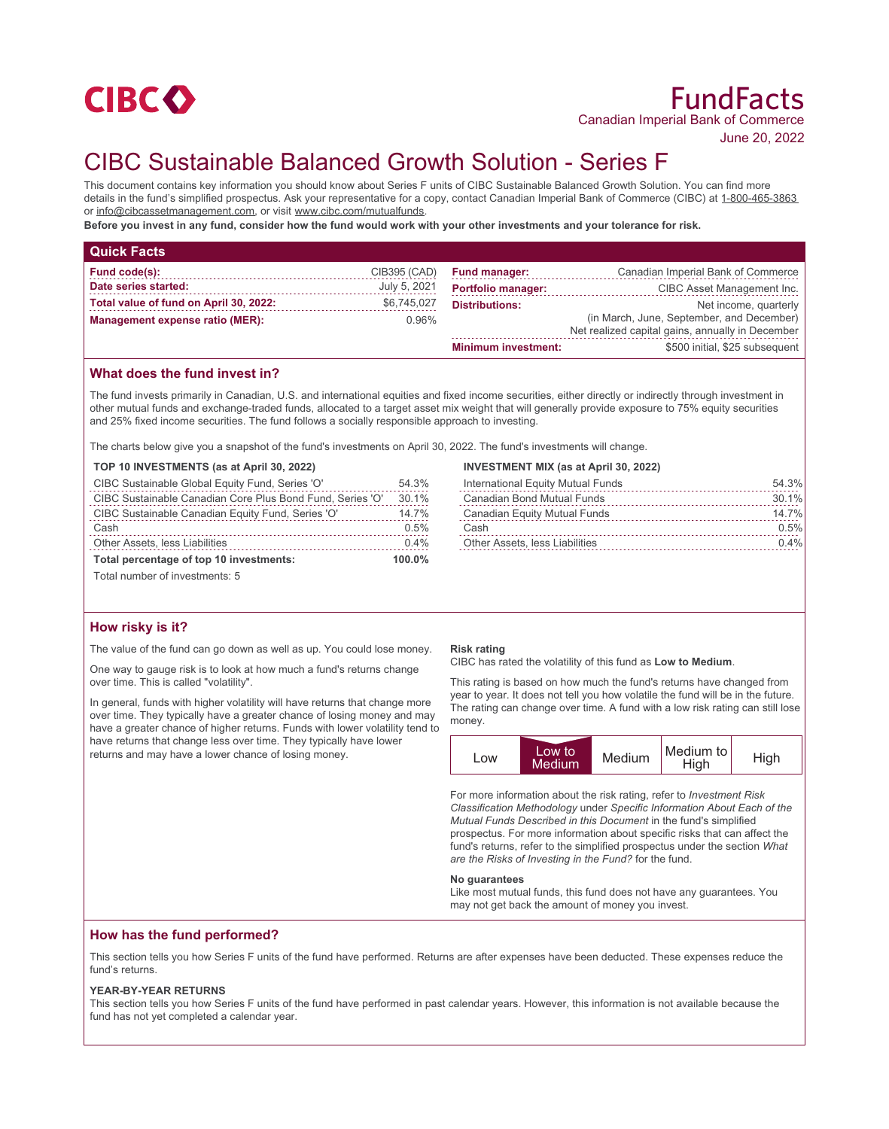

June 20, 2022

# CIBC Sustainable Balanced Growth Solution - Series F

This document contains key information you should know about Series F units of CIBC Sustainable Balanced Growth Solution. You can find more details in the fund's simplified prospectus. Ask your representative for a copy, contact Canadian Imperial Bank of Commerce (CIBC) at 1-800-465-3863 or info@cibcassetmanagement.com, or visit www.cibc.com/mutualfunds.

**Before you invest in any fund, consider how the fund would work with your other investments and your tolerance for risk.**

| <b>Quick Facts</b>                     |              |                            |                                                                                               |
|----------------------------------------|--------------|----------------------------|-----------------------------------------------------------------------------------------------|
| Fund code(s):                          | CIB395 (CAD) | <b>Fund manager:</b>       | Canadian Imperial Bank of Commerce                                                            |
| Date series started:                   | July 5, 2021 | <b>Portfolio manager:</b>  | CIBC Asset Management Inc.                                                                    |
| Total value of fund on April 30, 2022: | \$6,745,027  | <b>Distributions:</b>      | Net income, quarterly                                                                         |
| Management expense ratio (MER):        | $0.96\%$     |                            | (in March, June, September, and December)<br>Net realized capital gains, annually in December |
|                                        |              | <b>Minimum investment:</b> | \$500 initial, \$25 subsequent                                                                |

## **What does the fund invest in?**

The fund invests primarily in Canadian, U.S. and international equities and fixed income securities, either directly or indirectly through investment in other mutual funds and exchange-traded funds, allocated to a target asset mix weight that will generally provide exposure to 75% equity securities and 25% fixed income securities. The fund follows a socially responsible approach to investing.

The charts below give you a snapshot of the fund's investments on April 30, 2022. The fund's investments will change.

|  | TOP 10 INVESTMENTS (as at April 30, 2022) |  |  |
|--|-------------------------------------------|--|--|
|--|-------------------------------------------|--|--|

| CIBC Sustainable Global Equity Fund, Series 'O'           | 54.3%     |
|-----------------------------------------------------------|-----------|
| CIBC Sustainable Canadian Core Plus Bond Fund, Series 'O' | 30.1%     |
| CIBC Sustainable Canadian Equity Fund, Series 'O'         | 14.7%     |
| Cash                                                      | 0.5%      |
| Other Assets, less Liabilities                            | 0.4%      |
| Total percentage of top 10 investments:                   | $100.0\%$ |

Total number of investments: 5

## **How risky is it?**

The value of the fund can go down as well as up. You could lose money.

One way to gauge risk is to look at how much a fund's returns change over time. This is called "volatility".

In general, funds with higher volatility will have returns that change more over time. They typically have a greater chance of losing money and may have a greater chance of higher returns. Funds with lower volatility tend to have returns that change less over time. They typically have lower returns and may have a lower chance of losing money.

#### **INVESTMENT MIX (as at April 30, 2022)**

| International Equity Mutual Funds     | 54.3%   |
|---------------------------------------|---------|
| Canadian Bond Mutual Funds            | 30.1%   |
| Canadian Equity Mutual Funds          | 14.7%   |
| Cash                                  | 0.5%    |
| <b>Other Assets, less Liabilities</b> | $0.4\%$ |

#### **Risk rating**

CIBC has rated the volatility of this fund as **Low to Medium**.

This rating is based on how much the fund's returns have changed from year to year. It does not tell you how volatile the fund will be in the future. The rating can change over time. A fund with a low risk rating can still lose money.

| LOW | Low to<br><b>Medium</b> | Medium | Medium to<br>High | High |
|-----|-------------------------|--------|-------------------|------|
|-----|-------------------------|--------|-------------------|------|

For more information about the risk rating, refer to *Investment Risk Classification Methodology* under *Specific Information About Each of the Mutual Funds Described in this Document* in the fund's simplified prospectus. For more information about specific risks that can affect the fund's returns, refer to the simplified prospectus under the section *What are the Risks of Investing in the Fund?* for the fund.

#### **No guarantees**

Like most mutual funds, this fund does not have any guarantees. You may not get back the amount of money you invest.

#### **How has the fund performed?**

This section tells you how Series F units of the fund have performed. Returns are after expenses have been deducted. These expenses reduce the fund's returns.

#### **YEAR-BY-YEAR RETURNS**

This section tells you how Series F units of the fund have performed in past calendar years. However, this information is not available because the fund has not yet completed a calendar year.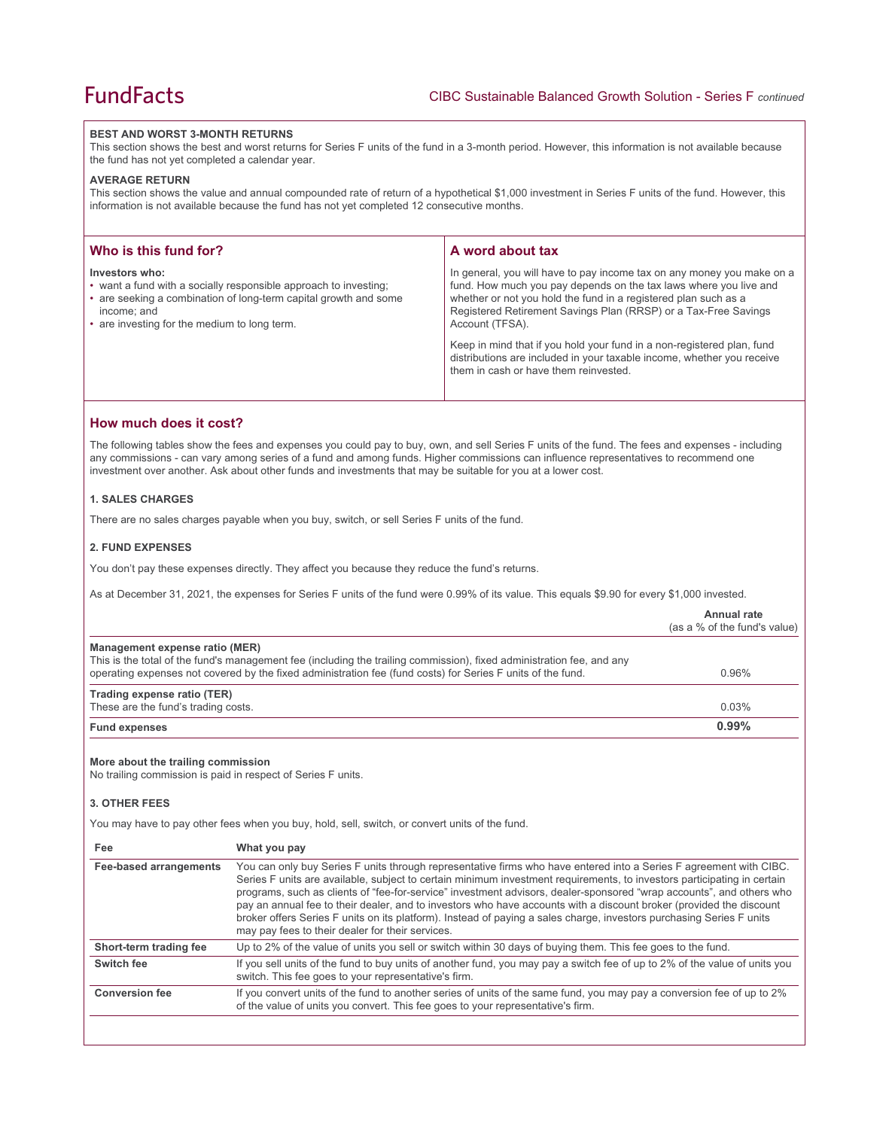#### **BEST AND WORST 3-MONTH RETURNS**

This section shows the best and worst returns for Series F units of the fund in a 3-month period. However, this information is not available because the fund has not yet completed a calendar year.

#### **AVERAGE RETURN**

This section shows the value and annual compounded rate of return of a hypothetical \$1,000 investment in Series F units of the fund. However, this information is not available because the fund has not yet completed 12 consecutive months.

| Who is this fund for?                                                                                                                                                                                                 | A word about tax                                                                                                                                                                                                                                                                                     |  |
|-----------------------------------------------------------------------------------------------------------------------------------------------------------------------------------------------------------------------|------------------------------------------------------------------------------------------------------------------------------------------------------------------------------------------------------------------------------------------------------------------------------------------------------|--|
| Investors who:<br>• want a fund with a socially responsible approach to investing;<br>• are seeking a combination of long-term capital growth and some<br>income: and<br>• are investing for the medium to long term. | In general, you will have to pay income tax on any money you make on a<br>fund. How much you pay depends on the tax laws where you live and<br>whether or not you hold the fund in a registered plan such as a<br>Registered Retirement Savings Plan (RRSP) or a Tax-Free Savings<br>Account (TFSA). |  |
|                                                                                                                                                                                                                       | Keep in mind that if you hold your fund in a non-registered plan, fund<br>distributions are included in your taxable income, whether you receive<br>them in cash or have them reinvested.                                                                                                            |  |

## **How much does it cost?**

The following tables show the fees and expenses you could pay to buy, own, and sell Series F units of the fund. The fees and expenses - including any commissions - can vary among series of a fund and among funds. Higher commissions can influence representatives to recommend one investment over another. Ask about other funds and investments that may be suitable for you at a lower cost.

## **1. SALES CHARGES**

There are no sales charges payable when you buy, switch, or sell Series F units of the fund.

#### **2. FUND EXPENSES**

You don't pay these expenses directly. They affect you because they reduce the fund's returns.

As at December 31, 2021, the expenses for Series F units of the fund were 0.99% of its value. This equals \$9.90 for every \$1,000 invested.

|                                                                                                                            |                                                                                                                                                                                                                                                                                                                                                                                                                                                                                                                                                                                                                                                                          | Annual rate<br>(as a % of the fund's value) |
|----------------------------------------------------------------------------------------------------------------------------|--------------------------------------------------------------------------------------------------------------------------------------------------------------------------------------------------------------------------------------------------------------------------------------------------------------------------------------------------------------------------------------------------------------------------------------------------------------------------------------------------------------------------------------------------------------------------------------------------------------------------------------------------------------------------|---------------------------------------------|
| Management expense ratio (MER)                                                                                             | This is the total of the fund's management fee (including the trailing commission), fixed administration fee, and any<br>operating expenses not covered by the fixed administration fee (fund costs) for Series F units of the fund.                                                                                                                                                                                                                                                                                                                                                                                                                                     | 0.96%                                       |
| <b>Trading expense ratio (TER)</b><br>These are the fund's trading costs.                                                  |                                                                                                                                                                                                                                                                                                                                                                                                                                                                                                                                                                                                                                                                          | 0.03%                                       |
| <b>Fund expenses</b>                                                                                                       |                                                                                                                                                                                                                                                                                                                                                                                                                                                                                                                                                                                                                                                                          | 0.99%                                       |
| More about the trailing commission<br>No trailing commission is paid in respect of Series F units.<br><b>3. OTHER FEES</b> | You may have to pay other fees when you buy, hold, sell, switch, or convert units of the fund.                                                                                                                                                                                                                                                                                                                                                                                                                                                                                                                                                                           |                                             |
| Fee                                                                                                                        | What you pay                                                                                                                                                                                                                                                                                                                                                                                                                                                                                                                                                                                                                                                             |                                             |
| <b>Fee-based arrangements</b>                                                                                              | You can only buy Series F units through representative firms who have entered into a Series F agreement with CIBC.<br>Series F units are available, subject to certain minimum investment requirements, to investors participating in certain<br>programs, such as clients of "fee-for-service" investment advisors, dealer-sponsored "wrap accounts", and others who<br>pay an annual fee to their dealer, and to investors who have accounts with a discount broker (provided the discount<br>broker offers Series F units on its platform). Instead of paying a sales charge, investors purchasing Series F units<br>may pay fees to their dealer for their services. |                                             |
| Short-term trading fee                                                                                                     | Up to 2% of the value of units you sell or switch within 30 days of buying them. This fee goes to the fund.                                                                                                                                                                                                                                                                                                                                                                                                                                                                                                                                                              |                                             |
| Switch fee                                                                                                                 | If you sell units of the fund to buy units of another fund, you may pay a switch fee of up to 2% of the value of units you<br>switch. This fee goes to your representative's firm.                                                                                                                                                                                                                                                                                                                                                                                                                                                                                       |                                             |
| <b>Conversion fee</b>                                                                                                      | If you convert units of the fund to another series of units of the same fund, you may pay a conversion fee of up to 2%<br>of the value of units you convert. This fee goes to your representative's firm.                                                                                                                                                                                                                                                                                                                                                                                                                                                                |                                             |